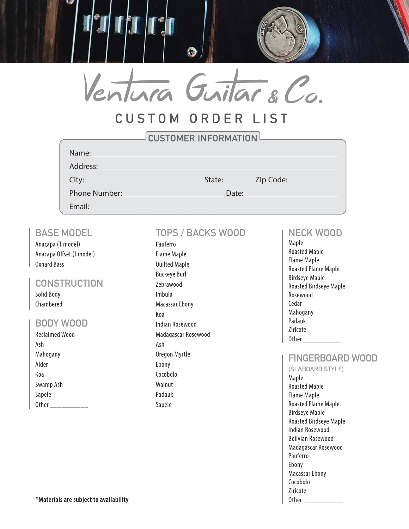

# **CUSTOM ORDER LIST**

| <b>CUSTOMER INFORMATION!</b> |        |       |           |  |  |
|------------------------------|--------|-------|-----------|--|--|
| Name:                        |        |       |           |  |  |
| Address:                     |        |       |           |  |  |
| City:                        | State: |       | Zip Code: |  |  |
| <b>Phone Number:</b>         |        | Date: |           |  |  |
| Email:                       |        |       |           |  |  |

### **BASE MODEL**

Anacapa (T model) Anacapa Offset (J model) Oxnard Bass

#### **CONSTRUCTION** Solid Body

Chambered

### **BODY WOOD**

Reclaimed Wood Ash Mahogany Alder Koa Swamp Ash Sapele Other  $\qquad \qquad$ 

# **TOPS / BACKS WOOD**

Pauferro Flame Maple Quilted Maple Buckeye Burl Zebrawood Imbula Macassar Ebony Koa Indian Rosewood Madagascar Rosewood Ash Oregon Myrtle Ebony Cocobolo Walnut Padauk Sapele

### **NECK WOOD**

Maple Roasted Maple Flame Maple Roasted Flame Maple Birdseye Maple Roasted Birdseye Maple Rosewood Cedar Mahogany Padauk Ziricote Other  $\qquad \qquad$ 

### **FINGERBOARD WOOD**

**(SLABOARD STYLE)** Maple Roasted Maple Flame Maple Roasted Flame Maple Birdseye Maple Roasted Birdseye Maple Indian Rosewood Bolivian Rosewood Madagascar Rosewood Pauferro Ebony Macassar Ebony Cocobolo Ziricote